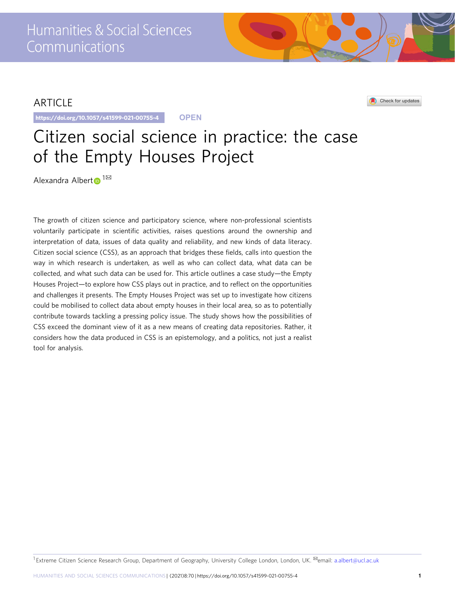## ARTICLE

https://doi.org/10.1057/s41599-021-00755-4 **OPEN**

## Check for updates

# Citizen social science in practice: the case of the Empty Houses Project

Alexandra Alber[t](http://orcid.org/0000-0001-5838-675X)  $\mathbf{D}^{1\boxtimes}$ 

The growth of citizen science and participatory science, where non-professional scientists voluntarily participate in scientific activities, raises questions around the ownership and interpretation of data, issues of data quality and reliability, and new kinds of data literacy. Citizen social science (CSS), as an approach that bridges these fields, calls into question the way in which research is undertaken, as well as who can collect data, what data can be collected, and what such data can be used for. This article outlines a case study—the Empty Houses Project—to explore how CSS plays out in practice, and to reflect on the opportunities and challenges it presents. The Empty Houses Project was set up to investigate how citizens could be mobilised to collect data about empty houses in their local area, so as to potentially contribute towards tackling a pressing policy issue. The study shows how the possibilities of CSS exceed the dominant view of it as a new means of creating data repositories. Rather, it considers how the data produced in CSS is an epistemology, and a politics, not just a realist tool for analysis.

1 Extreme Citizen Science Research Group, Department of Geography, University College London, London, UK. <sup>⊠</sup>email: [a.albert@ucl.ac.uk](mailto:a.albert@ucl.ac.uk)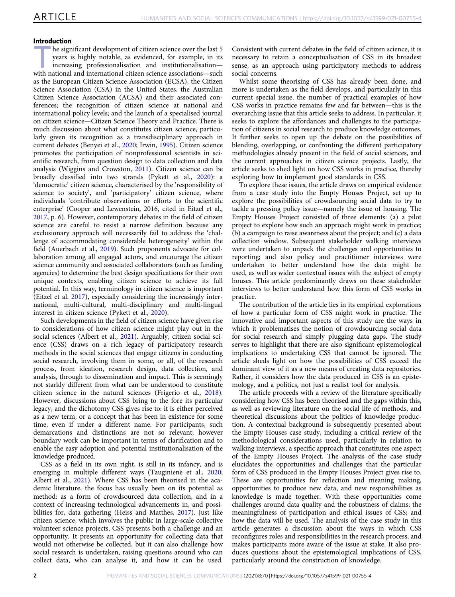## Introduction

he significant development of citizen science over the last 5 years is highly notable, as evidenced, for example, in its increasing professionalisation and institutionalisation with national and international citizen science associations—such as the European Citizen Science Association (ECSA), the Citizen Science Association (CSA) in the United States, the Australian Citizen Science Association (ACSA) and their associated conferences; the recognition of citizen science at national and international policy levels; and the launch of a specialised journal on citizen science—Citizen Science Theory and Practice. There is much discussion about what constitutes citizen science, particularly given its recognition as a transdisciplinary approach in current debates (Benyei et al., [2020](#page-9-0); Irwin, [1995\)](#page-10-0). Citizen science promotes the participation of nonprofessional scientists in scientific research, from question design to data collection and data analysis (Wiggins and Crowston, [2011\)](#page-10-0). Citizen science can be broadly classified into two strands (Pykett et al., [2020\)](#page-10-0): a 'democratic' citizen science, characterised by the 'responsibility of science to society', and 'participatory' citizen science, where individuals 'contribute observations or efforts to the scientific enterprise' (Cooper and Lewenstein, 2016, cited in Eitzel et al., [2017,](#page-9-0) p. 6). However, contemporary debates in the field of citizen science are careful to resist a narrow definition because any exclusionary approach will necessarily fail to address the 'challenge of accommodating considerable heterogeneity' within the field (Auerbach et al., [2019](#page-9-0)). Such proponents advocate for collaboration among all engaged actors, and encourage the citizen science community and associated collaborators (such as funding agencies) to determine the best design specifications for their own unique contexts, enabling citizen science to achieve its full potential. In this way, terminology in citizen science is important (Eitzel et al. [2017](#page-9-0)), especially considering the increasingly international, multi-cultural, multi-disciplinary and multi-lingual interest in citizen science (Pykett et al., [2020\)](#page-10-0).

Such developments in the field of citizen science have given rise to considerations of how citizen science might play out in the social sciences (Albert et al., [2021\)](#page-9-0). Arguably, citizen social science (CSS) draws on a rich legacy of participatory research methods in the social sciences that engage citizens in conducting social research, involving them in some, or all, of the research process, from ideation, research design, data collection, and analysis, through to dissemination and impact. This is seemingly not starkly different from what can be understood to constitute citizen science in the natural sciences (Frigerio et al., [2018](#page-10-0)). However, discussions about CSS bring to the fore its particular legacy, and the dichotomy CSS gives rise to: it is either perceived as a new term, or a concept that has been in existence for some time, even if under a different name. For participants, such demarcations and distinctions are not so relevant; however boundary work can be important in terms of clarification and to enable the easy adoption and potential institutionalisation of the knowledge produced.

CSS as a field in its own right, is still in its infancy, and is emerging in multiple different ways (Tauginiene et al., [2020;](#page-10-0) Albert et al., [2021\)](#page-9-0). Where CSS has been theorised in the academic literature, the focus has usually been on its potential as method: as a form of crowdsourced data collection, and in a context of increasing technological advancements in, and possibilities for, data gathering (Heiss and Matthes, [2017](#page-10-0)). Just like citizen science, which involves the public in large-scale collective volunteer science projects, CSS presents both a challenge and an opportunity. It presents an opportunity for collecting data that would not otherwise be collected, but it can also challenge how social research is undertaken, raising questions around who can collect data, who can analyse it, and how it can be used.

Consistent with current debates in the field of citizen science, it is necessary to retain a conceptualisation of CSS in its broadest sense, as an approach using participatory methods to address social concerns.

Whilst some theorising of CSS has already been done, and more is undertaken as the field develops, and particularly in this current special issue, the number of practical examples of how CSS works in practice remains few and far between—this is the overarching issue that this article seeks to address. In particular, it seeks to explore the affordances and challenges to the participation of citizens in social research to produce knowledge outcomes. It further seeks to open up the debate on the possibilities of blending, overlapping, or confronting the different participatory methodologies already present in the field of social sciences, and the current approaches in citizen science projects. Lastly, the article seeks to shed light on how CSS works in practice, thereby exploring how to implement good standards in CSS.

To explore these issues, the article draws on empirical evidence from a case study into the Empty Houses Project, set up to explore the possibilities of crowdsourcing social data to try to tackle a pressing policy issue—namely the issue of housing. The Empty Houses Project consisted of three elements: (a) a pilot project to explore how such an approach might work in practice; (b) a campaign to raise awareness about the project; and (c) a data collection window. Subsequent stakeholder walking interviews were undertaken to unpack the challenges and opportunities to reporting; and also policy and practitioner interviews were undertaken to better understand how the data might be used, as well as wider contextual issues with the subject of empty houses. This article predominantly draws on these stakeholder interviews to better understand how this form of CSS works in practice.

The contribution of the article lies in its empirical explorations of how a particular form of CSS might work in practice. The innovative and important aspects of this study are the ways in which it problematises the notion of crowdsourcing social data for social research and simply plugging data gaps. The study serves to highlight that there are also significant epistemological implications to undertaking CSS that cannot be ignored. The article sheds light on how the possibilities of CSS exceed the dominant view of it as a new means of creating data repositories. Rather, it considers how the data produced in CSS is an epistemology, and a politics, not just a realist tool for analysis.

The article proceeds with a review of the literature specifically considering how CSS has been theorised and the gaps within this, as well as reviewing literature on the social life of methods, and theoretical discussions about the politics of knowledge production. A contextual background is subsequently presented about the Empty Houses case study, including a critical review of the methodological considerations used, particularly in relation to walking interviews, a specific approach that constitutes one aspect of the Empty Houses Project. The analysis of the case study elucidates the opportunities and challenges that the particular form of CSS produced in the Empty Houses Project gives rise to. These are opportunities for reflection and meaning making, opportunities to produce new data, and new responsibilities as knowledge is made together. With these opportunities come challenges around data quality and the robustness of claims; the meaningfulness of participation and ethical issues of CSS; and how the data will be used. The analysis of the case study in this article generates a discussion about the ways in which CSS reconfigures roles and responsibilities in the research process, and makes participants more aware of the issue at stake. It also produces questions about the epistemological implications of CSS, particularly around the construction of knowledge.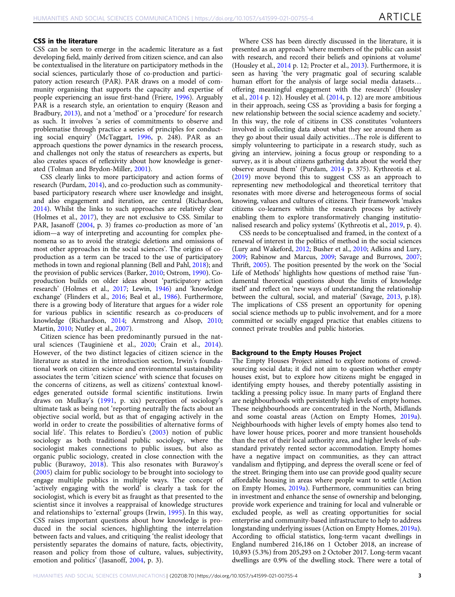## CSS in the literature

CSS can be seen to emerge in the academic literature as a fast developing field, mainly derived from citizen science, and can also be contextualised in the literature on participatory methods in the social sciences, particularly those of co-production and participatory action research (PAR). PAR draws on a model of community organising that supports the capacity and expertise of people experiencing an issue first-hand (Friere, [1996](#page-10-0)). Arguably PAR is a research style, an orientation to enquiry (Reason and Bradbury, [2013\)](#page-10-0), and not a 'method' or a 'procedure' for research as such. It involves 'a series of commitments to observe and problematise through practice a series of principles for conducting social enquiry' (McTaggart, [1996,](#page-10-0) p. 248). PAR as an approach questions the power dynamics in the research process, and challenges not only the status of researchers as experts, but also creates spaces of reflexivity about how knowledge is generated (Tolman and Brydon-Miller, [2001\)](#page-10-0).

CSS clearly links to more participatory and action forms of research (Purdam, [2014\)](#page-10-0), and co-production such as communitybased participatory research where user knowledge and insight, and also engagement and iteration, are central (Richardson, [2014\)](#page-10-0). Whilst the links to such approaches are relatively clear (Holmes et al., [2017\)](#page-10-0), they are not exclusive to CSS. Similar to PAR, Jasanoff ([2004,](#page-10-0) p. 3) frames co-production as more of 'an idiom—a way of interpreting and accounting for complex phenomena so as to avoid the strategic deletions and omissions of most other approaches in the social sciences'. The origins of coproduction as a term can be traced to the use of participatory methods in town and regional planning (Bell and Pahl, [2018\)](#page-9-0); and the provision of public services (Barker, [2010;](#page-9-0) Ostrom, [1990\)](#page-10-0). Coproduction builds on older ideas about 'participatory action research' (Holmes et al., [2017;](#page-10-0) Lewin, [1946](#page-10-0)) and 'knowledge exchange' (Flinders et al., [2016](#page-10-0); Beal et al., [1986](#page-9-0)). Furthermore, there is a growing body of literature that argues for a wider role for various publics in scientific research as co-producers of knowledge (Richardson, [2014;](#page-10-0) Armstrong and Alsop, [2010;](#page-9-0) Martin, [2010](#page-10-0); Nutley et al., [2007](#page-10-0)).

Citizen science has been predominantly pursued in the nat-ural sciences (Tauginiene et al., [2020](#page-10-0); Crain et al., [2014](#page-9-0)). However, of the two distinct legacies of citizen science in the literature as stated in the introduction section, Irwin's foundational work on citizen science and environmental sustainability associates the term 'citizen science' with science that focuses on the concerns of citizens, as well as citizens' contextual knowledges generated outside formal scientific institutions. Irwin draws on Mulkay's [\(1991,](#page-10-0) p. xix) perception of sociology's ultimate task as being not 'reporting neutrally the facts about an objective social world, but as that of engaging actively in the world in order to create the possibilities of alternative forms of social life'. This relates to Bordieu's ([2003](#page-9-0)) notion of public sociology as both traditional public sociology, where the sociologist makes connections to public issues, but also as organic public sociology, created in close connection with the public (Burawoy, [2018\)](#page-9-0). This also resonates with Burawoy's ([2005](#page-9-0)) claim for public sociology to be brought into sociology to engage multiple publics in multiple ways. The concept of 'actively engaging with the world' is clearly a task for the sociologist, which is every bit as fraught as that presented to the scientist since it involves a reappraisal of knowledge structures and relationships to 'external' groups (Irwin, [1995](#page-10-0)). In this way, CSS raises important questions about how knowledge is produced in the social sciences, highlighting the interrelation between facts and values, and critiquing 'the realist ideology that persistently separates the domains of nature, facts, objectivity, reason and policy from those of culture, values, subjectivity, emotion and politics' (Jasanoff, [2004,](#page-10-0) p. 3).

Where CSS has been directly discussed in the literature, it is presented as an approach 'where members of the public can assist with research, and record their beliefs and opinions at volume' (Housley et al., [2014](#page-10-0) p. 12; Procter et al., [2013](#page-10-0)). Furthermore, it is seen as having 'the very pragmatic goal of securing scalable human effort for the analysis of large social media datasets… offering meaningful engagement with the research' (Housley et al.,  $2014$  p. 12). Housley et al.  $(2014, p. 12)$  $(2014, p. 12)$  $(2014, p. 12)$  are more ambitious in their approach, seeing CSS as 'providing a basis for forging a new relationship between the social science academy and society.' In this way, the role of citizens in CSS constitutes 'volunteers involved in collecting data about what they see around them as they go about their usual daily activities…The role is different to simply volunteering to participate in a research study, such as giving an interview, joining a focus group or responding to a survey, as it is about citizens gathering data about the world they observe around them' (Purdam, [2014](#page-10-0) p. 375). Kythreotis et al. ([2019](#page-10-0)) move beyond this to suggest CSS as an approach to representing new methodological and theoretical territory that resonates with more diverse and heterogeneous forms of social knowing, values and cultures of citizens. Their framework 'makes citizens co-learners within the research process by actively enabling them to explore transformatively changing institutionalised research and policy systems' (Kythreotis et al., [2019,](#page-10-0) p. 4).

CSS needs to be conceptualised and framed, in the context of a renewal of interest in the politics of method in the social sciences (Lury and Wakeford, [2012](#page-10-0); Busher et al., [2010](#page-9-0); Adkins and Lury, [2009;](#page-9-0) Rabinow and Marcus, [2009;](#page-10-0) Savage and Burrows, [2007;](#page-10-0) Thrift, [2005](#page-10-0)). The position presented by the work on the 'Social Life of Methods' highlights how questions of method raise 'fundamental theoretical questions about the limits of knowledge itself' and reflect on 'new ways of understanding the relationship between the cultural, social, and material' (Savage, [2013](#page-10-0), p.18). The implications of CSS present an opportunity for opening social science methods up to public involvement, and for a more committed or socially engaged practice that enables citizens to connect private troubles and public histories.

### Background to the Empty Houses Project

The Empty Houses Project aimed to explore notions of crowdsourcing social data; it did not aim to question whether empty houses exist, but to explore how citizens might be engaged in identifying empty houses, and thereby potentially assisting in tackling a pressing policy issue. In many parts of England there are neighbourhoods with persistently high levels of empty homes. These neighbourhoods are concentrated in the North, Midlands and some coastal areas (Action on Empty Homes, [2019a](#page-9-0)). Neighbourhoods with higher levels of empty homes also tend to have lower house prices, poorer and more transient households than the rest of their local authority area, and higher levels of substandard privately rented sector accommodation. Empty homes have a negative impact on communities, as they can attract vandalism and flytipping, and depress the overall scene or feel of the street. Bringing them into use can provide good quality secure affordable housing in areas where people want to settle (Action on Empty Homes, [2019a\)](#page-9-0). Furthermore, communities can bring in investment and enhance the sense of ownership and belonging, provide work experience and training for local and vulnerable or excluded people, as well as creating opportunities for social enterprise and community-based infrastructure to help to address longstanding underlying issues (Action on Empty Homes, [2019a](#page-9-0)). According to official statistics, long-term vacant dwellings in England numbered 216,186 on 1 October 2018, an increase of 10,893 (5.3%) from 205,293 on 2 October 2017. Long-term vacant dwellings are 0.9% of the dwelling stock. There were a total of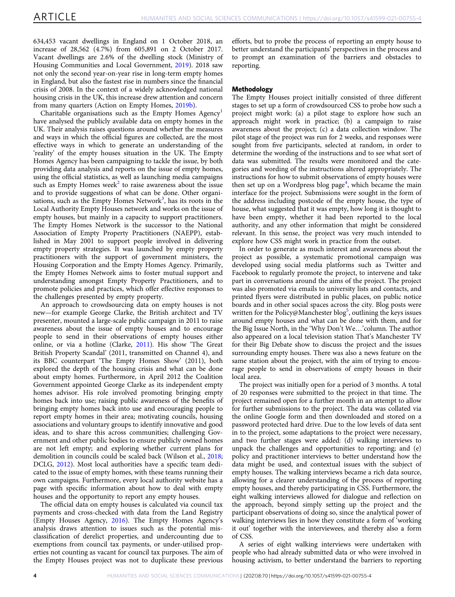634,453 vacant dwellings in England on 1 October 2018, an increase of 28,562 (4.7%) from 605,891 on 2 October 2017. Vacant dwellings are 2.6% of the dwelling stock (Ministry of Housing Communities and Local Government, [2019](#page-10-0)). 2018 saw not only the second year-on-year rise in long-term empty homes in England, but also the fastest rise in numbers since the financial crisis of 2008. In the context of a widely acknowledged national housing crisis in the UK, this increase drew attention and concern from many quarters (Action on Empty Homes, [2019b](#page-9-0)).

Charitable organisations such as the Empty Homes  $Agency<sup>1</sup>$  $Agency<sup>1</sup>$  $Agency<sup>1</sup>$ have analysed the publicly available data on empty homes in the UK. Their analysis raises questions around whether the measures and ways in which the official figures are collected, are the most effective ways in which to generate an understanding of the 'reality' of the empty houses situation in the UK. The Empty Homes Agency has been campaigning to tackle the issue, by both providing data analysis and reports on the issue of empty homes, using the official statistics, as well as launching media campaigns such as Empty Homes week<sup>[2](#page-9-0)</sup> to raise awareness about the issue and to provide suggestions of what can be done. Other organi-sations, such as the Empty Homes Network<sup>[3](#page-9-0)</sup>, has its roots in the Local Authority Empty Houses network and works on the issue of empty houses, but mainly in a capacity to support practitioners. The Empty Homes Network is the successor to the National Association of Empty Property Practitioners (NAEPP), established in May 2001 to support people involved in delivering empty property strategies. It was launched by empty property practitioners with the support of government ministers, the Housing Corporation and the Empty Homes Agency. Primarily, the Empty Homes Network aims to foster mutual support and understanding amongst Empty Property Practitioners, and to promote policies and practices, which offer effective responses to the challenges presented by empty property.

An approach to crowdsourcing data on empty houses is not new—for example George Clarke, the British architect and TV presenter, mounted a large-scale public campaign in 2011 to raise awareness about the issue of empty houses and to encourage people to send in their observations of empty houses either online, or via a hotline (Clarke, [2011](#page-9-0)). His show 'The Great British Property Scandal' (2011, transmitted on Channel 4), and its BBC counterpart 'The Empty Homes Show' (2011), both explored the depth of the housing crisis and what can be done about empty homes. Furthermore, in April 2012 the Coalition Government appointed George Clarke as its independent empty homes advisor. His role involved promoting bringing empty homes back into use; raising public awareness of the benefits of bringing empty homes back into use and encouraging people to report empty homes in their area; motivating councils, housing associations and voluntary groups to identify innovative and good ideas, and to share this across communities; challenging Government and other public bodies to ensure publicly owned homes are not left empty; and exploring whether current plans for demolition in councils could be scaled back (Wilson et al., [2018;](#page-10-0) DCLG, [2012](#page-9-0)). Most local authorities have a specific team dedicated to the issue of empty homes, with these teams running their own campaigns. Furthermore, every local authority website has a page with specific information about how to deal with empty houses and the opportunity to report any empty houses.

The official data on empty houses is calculated via council tax payments and cross-checked with data from the Land Registry (Empty Houses Agency, [2016](#page-9-0)). The Empty Homes Agency's analysis draws attention to issues such as the potential misclassification of derelict properties, and undercounting due to exemptions from council tax payments, or under-utilised properties not counting as vacant for council tax purposes. The aim of the Empty Houses project was not to duplicate these previous efforts, but to probe the process of reporting an empty house to better understand the participants' perspectives in the process and to prompt an examination of the barriers and obstacles to reporting.

## Methodology

The Empty Houses project initially consisted of three different stages to set up a form of crowdsourced CSS to probe how such a project might work: (a) a pilot stage to explore how such an approach might work in practice; (b) a campaign to raise awareness about the project; (c) a data collection window. The pilot stage of the project was run for 2 weeks, and responses were sought from five participants, selected at random, in order to determine the wording of the instructions and to see what sort of data was submitted. The results were monitored and the categories and wording of the instructions altered appropriately. The instructions for how to submit observations of empty houses were then set up on a Wordpress blog page<sup>[4](#page-9-0)</sup>, which became the main interface for the project. Submissions were sought in the form of the address including postcode of the empty house, the type of house, what suggested that it was empty, how long it is thought to have been empty, whether it had been reported to the local authority, and any other information that might be considered relevant. In this sense, the project was very much intended to explore how CSS might work in practice from the outset.

In order to generate as much interest and awareness about the project as possible, a systematic promotional campaign was developed using social media platforms such as Twitter and Facebook to regularly promote the project, to intervene and take part in conversations around the aims of the project. The project was also promoted via emails to university lists and contacts, and printed flyers were distributed in public places, on public notice boards and in other social spaces across the city. Blog posts were written for the Policy@Manchester blog<sup>5</sup>, outlining the keys issues around empty houses and what can be done with them, and for the Big Issue North, in the 'Why Don't We…'column. The author also appeared on a local television station That's Manchester TV for their Big Debate show to discuss the project and the issues surrounding empty houses. There was also a news feature on the same station about the project, with the aim of trying to encourage people to send in observations of empty houses in their local area.

The project was initially open for a period of 3 months. A total of 20 responses were submitted to the project in that time. The project remained open for a further month in an attempt to allow for further submissions to the project. The data was collated via the online Google form and then downloaded and stored on a password protected hard drive. Due to the low levels of data sent in to the project, some adaptations to the project were necessary, and two further stages were added: (d) walking interviews to unpack the challenges and opportunities to reporting; and (e) policy and practitioner interviews to better understand how the data might be used, and contextual issues with the subject of empty houses. The walking interviews became a rich data source, allowing for a clearer understanding of the process of reporting empty houses, and thereby participating in CSS. Furthermore, the eight walking interviews allowed for dialogue and reflection on the approach, beyond simply setting up the project and the participant observations of doing so, since the analytical power of walking interviews lies in how they constitute a form of 'working it out' together with the interviewees, and thereby also a form of CSS.

A series of eight walking interviews were undertaken with people who had already submitted data or who were involved in housing activism, to better understand the barriers to reporting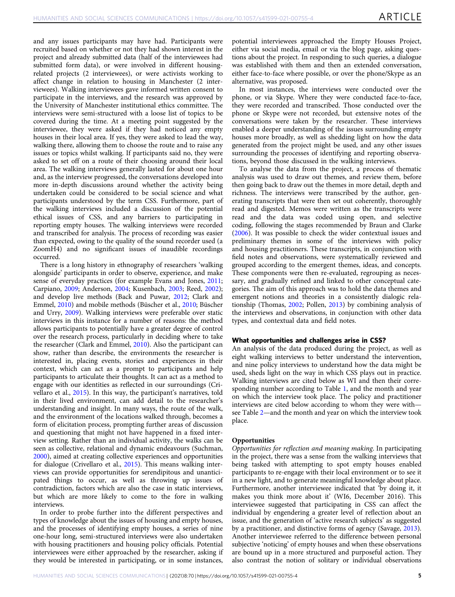and any issues participants may have had. Participants were recruited based on whether or not they had shown interest in the project and already submitted data (half of the interviewees had submitted form data), or were involved in different housingrelated projects (2 interviewees), or were activists working to affect change in relation to housing in Manchester (2 interviewees). Walking interviewees gave informed written consent to participate in the interviews, and the research was approved by the University of Manchester institutional ethics committee. The interviews were semi-structured with a loose list of topics to be covered during the time. At a meeting point suggested by the interviewee, they were asked if they had noticed any empty houses in their local area. If yes, they were asked to lead the way, walking there, allowing them to choose the route and to raise any issues or topics whilst walking. If participants said no, they were asked to set off on a route of their choosing around their local area. The walking interviews generally lasted for about one hour and, as the interview progressed, the conversations developed into more in-depth discussions around whether the activity being undertaken could be considered to be social science and what participants understood by the term CSS. Furthermore, part of the walking interviews included a discussion of the potential ethical issues of CSS, and any barriers to participating in reporting empty houses. The walking interviews were recorded and transcribed for analysis. The process of recording was easier than expected, owing to the quality of the sound recorder used (a ZoomH4) and no significant issues of inaudible recordings occurred.

There is a long history in ethnography of researchers 'walking alongside' participants in order to observe, experience, and make sense of everyday practices (for example Evans and Jones, [2011;](#page-10-0) Carpiano, [2009](#page-9-0); Anderson, [2004](#page-9-0); Kusenbach, [2003;](#page-10-0) Reed, [2002](#page-10-0)); and develop live methods (Back and Puwar, [2012](#page-9-0); Clark and Emmel, [2010](#page-9-0)) and mobile methods (Büscher et al., [2010;](#page-9-0) Büscher and Urry, [2009](#page-9-0)). Walking interviews were preferable over static interviews in this instance for a number of reasons: the method allows participants to potentially have a greater degree of control over the research process, particularly in deciding where to take the researcher (Clark and Emmel, [2010\)](#page-9-0). Also the participant can show, rather than describe, the environments the researcher is interested in, placing events, stories and experiences in their context, which can act as a prompt to participants and help participants to articulate their thoughts. It can act as a method to engage with our identities as reflected in our surroundings (Crivellaro et al., [2015](#page-9-0)). In this way, the participant's narratives, told in their lived environment, can add detail to the researcher's understanding and insight. In many ways, the route of the walk, and the environment of the locations walked through, becomes a form of elicitation process, prompting further areas of discussion and questioning that might not have happened in a fixed interview setting. Rather than an individual activity, the walks can be seen as collective, relational and dynamic endeavours (Suchman, [2000\)](#page-10-0), aimed at creating collective experiences and opportunities for dialogue (Crivellaro et al., [2015](#page-9-0)). This means walking interviews can provide opportunities for serendipitous and unanticipated things to occur, as well as throwing up issues of contradiction, factors which are also the case in static interviews, but which are more likely to come to the fore in walking interviews.

In order to probe further into the different perspectives and types of knowledge about the issues of housing and empty houses, and the processes of identifying empty houses, a series of nine one-hour long, semi-structured interviews were also undertaken with housing practitioners and housing policy officials. Potential interviewees were either approached by the researcher, asking if they would be interested in participating, or in some instances,

potential interviewees approached the Empty Houses Project, either via social media, email or via the blog page, asking questions about the project. In responding to such queries, a dialogue was established with them and then an extended conversation, either face-to-face where possible, or over the phone/Skype as an alternative, was proposed.

In most instances, the interviews were conducted over the phone, or via Skype. Where they were conducted face-to-face, they were recorded and transcribed. Those conducted over the phone or Skype were not recorded, but extensive notes of the conversations were taken by the researcher. These interviews enabled a deeper understanding of the issues surrounding empty houses more broadly, as well as shedding light on how the data generated from the project might be used, and any other issues surrounding the processes of identifying and reporting observations, beyond those discussed in the walking interviews.

To analyse the data from the project, a process of thematic analysis was used to draw out themes, and review them, before then going back to draw out the themes in more detail, depth and richness. The interviews were transcribed by the author, generating transcripts that were then set out coherently, thoroughly read and digested. Memos were written as the transcripts were read and the data was coded using open, and selective coding, following the stages recommended by Braun and Clarke ([2006](#page-9-0)). It was possible to check the wider contextual issues and preliminary themes in some of the interviews with policy and housing practitioners. These transcripts, in conjunction with field notes and observations, were systematically reviewed and grouped according to the emergent themes, ideas, and concepts. These components were then re-evaluated, regrouping as necessary, and gradually refined and linked to other conceptual categories. The aim of this approach was to hold the data themes and emergent notions and theories in a consistently dialogic relationship (Thomas, [2002;](#page-10-0) Pollen, [2013](#page-10-0)) by combining analysis of the interviews and observations, in conjunction with other data types, and contextual data and field notes.

#### What opportunities and challenges arise in CSS?

An analysis of the data produced during the project, as well as eight walking interviews to better understand the intervention, and nine policy interviews to understand how the data might be used, sheds light on the way in which CSS plays out in practice. Walking interviews are cited below as WI and then their corresponding number according to Table [1](#page-5-0), and the month and year on which the interview took place. The policy and practitioner interviews are cited below according to whom they were with see Table [2](#page-5-0)—and the month and year on which the interview took place.

#### **Opportunities**

Opportunities for reflection and meaning making. In participating in the project, there was a sense from the walking interviews that being tasked with attempting to spot empty houses enabled participants to re-engage with their local environment or to see it in a new light, and to generate meaningful knowledge about place. Furthermore, another interviewee indicated that 'by doing it, it makes you think more about it' (WI6, December 2016). This interviewee suggested that participating in CSS can affect the individual by engendering a greater level of reflection about an issue, and the generation of 'active research subjects' as suggested by a practitioner, and distinctive forms of agency (Savage, [2013](#page-10-0)). Another interviewee referred to the difference between personal subjective 'noticing' of empty houses and when these observations are bound up in a more structured and purposeful action. They also contrast the notion of solitary or individual observations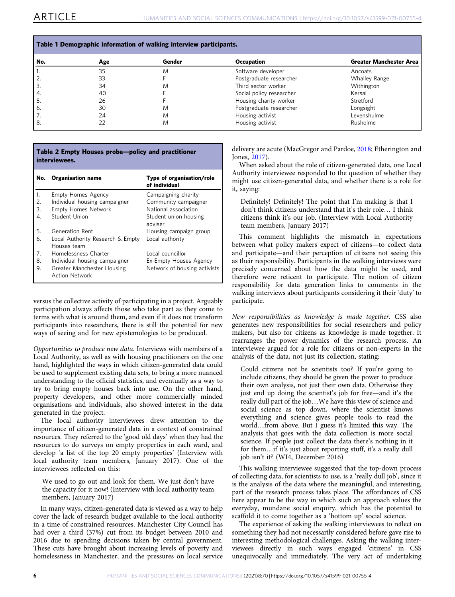<span id="page-5-0"></span>

| Table 1 Demographic information of walking interview participants. |     |        |                          |                                |  |
|--------------------------------------------------------------------|-----|--------|--------------------------|--------------------------------|--|
| No.                                                                | Age | Gender | <b>Occupation</b>        | <b>Greater Manchester Area</b> |  |
|                                                                    | 35  | M      | Software developer       | Ancoats                        |  |
| 2.                                                                 | 33  |        | Postgraduate researcher  | <b>Whalley Range</b>           |  |
| 3.                                                                 | 34  | M      | Third sector worker      | Withington                     |  |
| 4.                                                                 | 40  |        | Social policy researcher | Kersal                         |  |
| 5.                                                                 | 26  |        | Housing charity worker   | Stretford                      |  |
| 6.                                                                 | 30  | M      | Postgraduate researcher  | Longsight                      |  |
| 7.                                                                 | 24  | M      | Housing activist         | Levenshulme                    |  |
| 8.                                                                 | 22  | M      | Housing activist         | Rusholme                       |  |

## Table 2 Empty Houses probe—policy and practitioner interviewees.

| No.            | <b>Organisation name</b>                            | Type of organisation/role<br>of individual |
|----------------|-----------------------------------------------------|--------------------------------------------|
| 1.             | <b>Empty Homes Agency</b>                           | Campaigning charity                        |
| 2.             | Individual housing campaigner                       | Community campaigner                       |
| 3.             | <b>Empty Homes Network</b>                          | National association                       |
| 4.             | Student Union                                       | Student union housing<br>adviser           |
| 5.             | Generation Rent                                     | Housing campaign group                     |
| 6.             | Local Authority Research & Empty<br>Houses team     | Local authority                            |
| 7 <sup>1</sup> | Homelessness Charter                                | Local councillor                           |
| 8.             | Individual housing campaigner                       | Ex-Empty Houses Agency                     |
| 9.             | Greater Manchester Housing<br><b>Action Network</b> | Network of housing activists               |

versus the collective activity of participating in a project. Arguably participation always affects those who take part as they come to terms with what is around them, and even if it does not transform participants into researchers, there is still the potential for new ways of seeing and for new epistemologies to be produced.

Opportunities to produce new data. Interviews with members of a Local Authority, as well as with housing practitioners on the one hand, highlighted the ways in which citizen-generated data could be used to supplement existing data sets, to bring a more nuanced understanding to the official statistics, and eventually as a way to try to bring empty houses back into use. On the other hand, property developers, and other more commercially minded organisations and individuals, also showed interest in the data generated in the project.

The local authority interviewees drew attention to the importance of citizen-generated data in a context of constrained resources. They referred to the 'good old days' when they had the resources to do surveys on empty properties in each ward, and develop 'a list of the top 20 empty properties' (Interview with local authority team members, January 2017). One of the interviewees reflected on this:

We used to go out and look for them. We just don't have the capacity for it now! (Interview with local authority team members, January 2017)

In many ways, citizen-generated data is viewed as a way to help cover the lack of research budget available to the local authority in a time of constrained resources. Manchester City Council has had over a third (37%) cut from its budget between 2010 and 2016 due to spending decisions taken by central government. These cuts have brought about increasing levels of poverty and homelessness in Manchester, and the pressures on local service delivery are acute (MacGregor and Pardoe, [2018;](#page-10-0) Etherington and Jones, [2017](#page-9-0)).

When asked about the role of citizen-generated data, one Local Authority interviewee responded to the question of whether they might use citizen-generated data, and whether there is a role for it, saying:

Definitely! Definitely! The point that I'm making is that I don't think citizens understand that it's their role… I think citizens think it's our job. (Interview with Local Authority team members, January 2017)

This comment highlights the mismatch in expectations between what policy makers expect of citizens—to collect data and participate—and their perception of citizens not seeing this as their responsibility. Participants in the walking interviews were precisely concerned about how the data might be used, and therefore were reticent to participate. The notion of citizen responsibility for data generation links to comments in the walking interviews about participants considering it their 'duty' to participate.

New responsibilities as knowledge is made together. CSS also generates new responsibilities for social researchers and policy makers, but also for citizens as knowledge is made together. It rearranges the power dynamics of the research process. An interviewee argued for a role for citizens or non-experts in the analysis of the data, not just its collection, stating:

Could citizens not be scientists too? If you're going to include citizens, they should be given the power to produce their own analysis, not just their own data. Otherwise they just end up doing the scientist's job for free—and it's the really dull part of the job…We have this view of science and social science as top down, where the scientist knows everything and science gives people tools to read the world…from above. But I guess it's limited this way. The analysis that goes with the data collection is more social science. If people just collect the data there's nothing in it for them…if it's just about reporting stuff, it's a really dull job isn't it? (WI4, December 2016)

This walking interviewee suggested that the top-down process of collecting data, for scientists to use, is a 'really dull job', since it is the analysis of the data where the meaningful, and interesting, part of the research process takes place. The affordances of CSS here appear to be the way in which such an approach values the everyday, mundane social enquiry, which has the potential to scaffold it to come together as a 'bottom up' social science.

The experience of asking the walking interviewees to reflect on something they had not necessarily considered before gave rise to interesting methodological challenges. Asking the walking interviewees directly in such ways engaged 'citizens' in CSS unequivocally and immediately. The very act of undertaking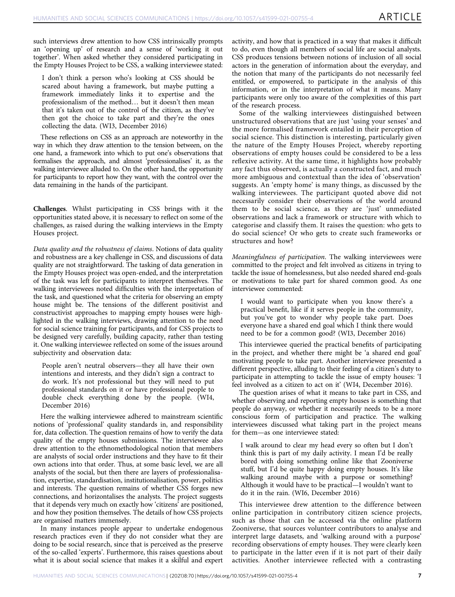such interviews drew attention to how CSS intrinsically prompts an 'opening up' of research and a sense of 'working it out together'. When asked whether they considered participating in the Empty Houses Project to be CSS, a walking interviewee stated:

I don't think a person who's looking at CSS should be scared about having a framework, but maybe putting a framework immediately links it to expertise and the professionalism of the method… but it doesn't then mean that it's taken out of the control of the citizen, as they've then got the choice to take part and they're the ones collecting the data. (WI3, December 2016)

These reflections on CSS as an approach are noteworthy in the way in which they draw attention to the tension between, on the one hand, a framework into which to put one's observations that formalises the approach, and almost 'professionalises' it, as the walking interviewee alluded to. On the other hand, the opportunity for participants to report how they want, with the control over the data remaining in the hands of the participant.

Challenges. Whilst participating in CSS brings with it the opportunities stated above, it is necessary to reflect on some of the challenges, as raised during the walking interviews in the Empty Houses project.

Data quality and the robustness of claims. Notions of data quality and robustness are a key challenge in CSS, and discussions of data quality are not straightforward. The tasking of data generation in the Empty Houses project was open-ended, and the interpretation of the task was left for participants to interpret themselves. The walking interviewees noted difficulties with the interpretation of the task, and questioned what the criteria for observing an empty house might be. The tensions of the different positivist and constructivist approaches to mapping empty houses were highlighted in the walking interviews, drawing attention to the need for social science training for participants, and for CSS projects to be designed very carefully, building capacity, rather than testing it. One walking interviewee reflected on some of the issues around subjectivity and observation data:

People aren't neutral observers—they all have their own intentions and interests, and they didn't sign a contract to do work. It's not professional but they will need to put professional standards on it or have professional people to double check everything done by the people. (WI4, December 2016)

Here the walking interviewee adhered to mainstream scientific notions of 'professional' quality standards in, and responsibility for, data collection. The question remains of how to verify the data quality of the empty houses submissions. The interviewee also drew attention to the ethnomethodological notion that members are analysts of social order instructions and they have to fit their own actions into that order. Thus, at some basic level, we are all analysts of the social, but then there are layers of professionalisation, expertise, standardisation, institutionalisation, power, politics and interests. The question remains of whether CSS forges new connections, and horizontalises the analysts. The project suggests that it depends very much on exactly how 'citizens' are positioned, and how they position themselves. The details of how CSS projects are organised matters immensely.

In many instances people appear to undertake endogenous research practices even if they do not consider what they are doing to be social research, since that is perceived as the preserve of the so-called 'experts'. Furthermore, this raises questions about what it is about social science that makes it a skilful and expert activity, and how that is practiced in a way that makes it difficult to do, even though all members of social life are social analysts. CSS produces tensions between notions of inclusion of all social actors in the generation of information about the everyday, and the notion that many of the participants do not necessarily feel entitled, or empowered, to participate in the analysis of this information, or in the interpretation of what it means. Many participants were only too aware of the complexities of this part of the research process.

Some of the walking interviewees distinguished between unstructured observations that are just 'using your senses' and the more formalised framework entailed in their perception of social science. This distinction is interesting, particularly given the nature of the Empty Houses Project, whereby reporting observations of empty houses could be considered to be a less reflexive activity. At the same time, it highlights how probably any fact thus observed, is actually a constructed fact, and much more ambiguous and contextual than the idea of 'observation' suggests. An 'empty home' is many things, as discussed by the walking interviewees. The participant quoted above did not necessarily consider their observations of the world around them to be social science, as they are 'just' unmediated observations and lack a framework or structure with which to categorise and classify them. It raises the question: who gets to do social science? Or who gets to create such frameworks or structures and how?

Meaningfulness of participation. The walking interviewees were committed to the project and felt involved as citizens in trying to tackle the issue of homelessness, but also needed shared end-goals or motivations to take part for shared common good. As one interviewee commented:

I would want to participate when you know there's a practical benefit, like if it serves people in the community, but you've got to wonder why people take part. Does everyone have a shared end goal which I think there would need to be for a common good? (WI3, December 2016)

This interviewee queried the practical benefits of participating in the project, and whether there might be 'a shared end goal' motivating people to take part. Another interviewee presented a different perspective, alluding to their feeling of a citizen's duty to participate in attempting to tackle the issue of empty houses: 'I feel involved as a citizen to act on it' (WI4, December 2016).

The question arises of what it means to take part in CSS, and whether observing and reporting empty houses is something that people do anyway, or whether it necessarily needs to be a more conscious form of participation and practice. The walking interviewees discussed what taking part in the project means for them—as one interviewee stated:

I walk around to clear my head every so often but I don't think this is part of my daily activity. I mean I'd be really bored with doing something online like that Zooniverse stuff, but I'd be quite happy doing empty houses. It's like walking around maybe with a purpose or something? Although it would have to be practical—I wouldn't want to do it in the rain. (WI6, December 2016)

This interviewee drew attention to the difference between online participation in contributory citizen science projects, such as those that can be accessed via the online platform Zooniverse, that sources volunteer contributors to analyse and interpret large datasets, and 'walking around with a purpose' recording observations of empty houses. They were clearly keen to participate in the latter even if it is not part of their daily activities. Another interviewee reflected with a contrasting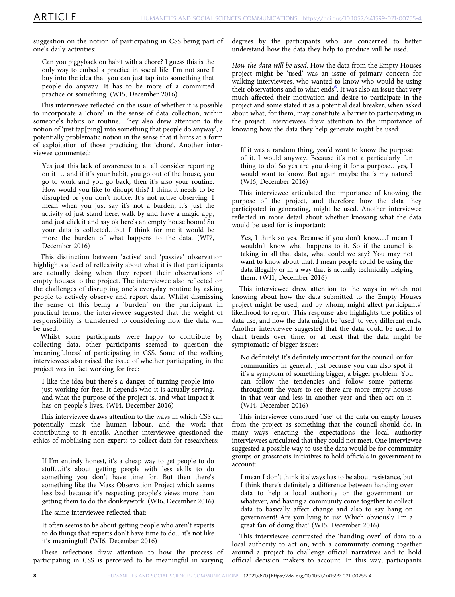suggestion on the notion of participating in CSS being part of one's daily activities:

Can you piggyback on habit with a chore? I guess this is the only way to embed a practice in social life. I'm not sure I buy into the idea that you can just tap into something that people do anyway. It has to be more of a committed practice or something. (WI5, December 2016)

This interviewee reflected on the issue of whether it is possible to incorporate a 'chore' in the sense of data collection, within someone's habits or routine. They also drew attention to the notion of 'just tap[ping] into something that people do anyway', a potentially problematic notion in the sense that it hints at a form of exploitation of those practicing the 'chore'. Another interviewee commented:

Yes just this lack of awareness to at all consider reporting on it … and if it's your habit, you go out of the house, you go to work and you go back, then it's also your routine. How would you like to disrupt this? I think it needs to be disrupted or you don't notice. It's not active observing. I mean when you just say it's not a burden, it's just the activity of just stand here, walk by and have a magic app, and just click it and say ok here's an empty house boom! So your data is collected…but I think for me it would be more the burden of what happens to the data. (WI7, December 2016)

This distinction between 'active' and 'passive' observation highlights a level of reflexivity about what it is that participants are actually doing when they report their observations of empty houses to the project. The interviewee also reflected on the challenges of disrupting one's everyday routine by asking people to actively observe and report data. Whilst dismissing the sense of this being a 'burden' on the participant in practical terms, the interviewee suggested that the weight of responsibility is transferred to considering how the data will be used.

Whilst some participants were happy to contribute by collecting data, other participants seemed to question the 'meaningfulness' of participating in CSS. Some of the walking interviewees also raised the issue of whether participating in the project was in fact working for free:

I like the idea but there's a danger of turning people into just working for free. It depends who it is actually serving, and what the purpose of the project is, and what impact it has on people's lives. (WI4, December 2016)

This interviewee draws attention to the ways in which CSS can potentially mask the human labour, and the work that contributing to it entails. Another interviewee questioned the ethics of mobilising non-experts to collect data for researchers:

If I'm entirely honest, it's a cheap way to get people to do stuff…it's about getting people with less skills to do something you don't have time for. But then there's something like the Mass Observation Project which seems less bad because it's respecting people's views more than getting them to do the donkeywork. (WI6, December 2016)

The same interviewee reflected that:

It often seems to be about getting people who aren't experts to do things that experts don't have time to do…it's not like it's meaningful! (WI6, December 2016)

These reflections draw attention to how the process of participating in CSS is perceived to be meaningful in varying degrees by the participants who are concerned to better understand how the data they help to produce will be used.

How the data will be used. How the data from the Empty Houses project might be 'used' was an issue of primary concern for walking interviewees, who wanted to know who would be using their observations and to what ends<sup>6</sup>. It was also an issue that very much affected their motivation and desire to participate in the project and some stated it as a potential deal breaker, when asked about what, for them, may constitute a barrier to participating in the project. Interviewees drew attention to the importance of knowing how the data they help generate might be used:

If it was a random thing, you'd want to know the purpose of it. I would anyway. Because it's not a particularly fun thing to do! So yes are you doing it for a purpose…yes, I would want to know. But again maybe that's my nature? (WI6, December 2016)

This interviewee articulated the importance of knowing the purpose of the project, and therefore how the data they participated in generating, might be used. Another interviewee reflected in more detail about whether knowing what the data would be used for is important:

Yes, I think so yes. Because if you don't know…I mean I wouldn't know what happens to it. So if the council is taking in all that data, what could we say? You may not want to know about that. I mean people could be using the data illegally or in a way that is actually technically helping them. (WI1, December 2016)

This interviewee drew attention to the ways in which not knowing about how the data submitted to the Empty Houses project might be used, and by whom, might affect participants' likelihood to report. This response also highlights the politics of data use, and how the data might be 'used' to very different ends. Another interviewee suggested that the data could be useful to chart trends over time, or at least that the data might be symptomatic of bigger issues:

No definitely! It's definitely important for the council, or for communities in general. Just because you can also spot if it's a symptom of something bigger, a bigger problem. You can follow the tendencies and follow some patterns throughout the years to see there are more empty houses in that year and less in another year and then act on it. (WI4, December 2016)

This interviewee construed 'use' of the data on empty houses from the project as something that the council should do, in many ways enacting the expectations the local authority interviewees articulated that they could not meet. One interviewee suggested a possible way to use the data would be for community groups or grassroots initiatives to hold officials in government to account:

I mean I don't think it always has to be about resistance, but I think there's definitely a difference between handing over data to help a local authority or the government or whatever, and having a community come together to collect data to basically affect change and also to say hang on government! Are you lying to us? Which obviously I'm a great fan of doing that! (WI5, December 2016)

This interviewee contrasted the 'handing over' of data to a local authority to act on, with a community coming together around a project to challenge official narratives and to hold official decision makers to account. In this way, participants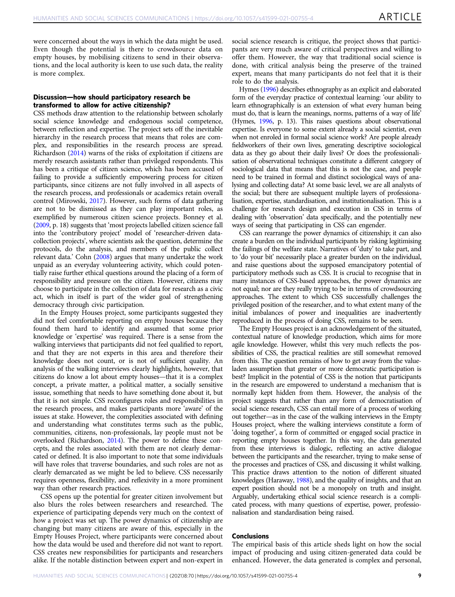were concerned about the ways in which the data might be used. Even though the potential is there to crowdsource data on empty houses, by mobilising citizens to send in their observations, and the local authority is keen to use such data, the reality is more complex.

## Discussion—how should participatory research be transformed to allow for active citizenship?

CSS methods draw attention to the relationship between scholarly social science knowledge and endogenous social competence, between reflection and expertise. The project sets off the inevitable hierarchy in the research process that means that roles are complex, and responsibilities in the research process are spread. Richardson ([2014\)](#page-10-0) warns of the risks of exploitation if citizens are merely research assistants rather than privileged respondents. This has been a critique of citizen science, which has been accused of failing to provide a sufficiently empowering process for citizen participants, since citizens are not fully involved in all aspects of the research process, and professionals or academics retain overall control (Mirowski, [2017\)](#page-10-0). However, such forms of data gathering are not to be dismissed as they can play important roles, as exemplified by numerous citizen science projects. Bonney et al. ([2009,](#page-9-0) p. 18) suggests that 'most projects labelled citizen science fall into the 'contributory project' model of 'researcher-driven datacollection projects', where scientists ask the question, determine the protocols, do the analysis, and members of the public collect relevant data.' Cohn ([2008](#page-9-0)) argues that many undertake the work unpaid as an everyday volunteering activity, which could potentially raise further ethical questions around the placing of a form of responsibility and pressure on the citizen. However, citizens may choose to participate in the collection of data for research as a civic act, which in itself is part of the wider goal of strengthening democracy through civic participation.

In the Empty Houses project, some participants suggested they did not feel comfortable reporting on empty houses because they found them hard to identify and assumed that some prior knowledge or 'expertise' was required. There is a sense from the walking interviews that participants did not feel qualified to report, and that they are not experts in this area and therefore their knowledge does not count, or is not of sufficient quality. An analysis of the walking interviews clearly highlights, however, that citizens do know a lot about empty houses—that it is a complex concept, a private matter, a political matter, a socially sensitive isssue, something that needs to have something done about it, but that it is not simple. CSS reconfigures roles and responsibilities in the research process, and makes participants more 'aware' of the issues at stake. However, the complexities associated with defining and understanding what constitutes terms such as the public, communities, citizens, non-professionals, lay people must not be overlooked (Richardson, [2014\)](#page-10-0). The power to define these concepts, and the roles associated with them are not clearly demarcated or defined. It is also important to note that some individuals will have roles that traverse boundaries, and such roles are not as clearly demarcated as we might be led to believe. CSS necessarily requires openness, flexibility, and reflexivity in a more prominent way than other research practices.

CSS opens up the potential for greater citizen involvement but also blurs the roles between researchers and researched. The experience of participating depends very much on the context of how a project was set up. The power dynamics of citizenship are changing but many citizens are aware of this, especially in the Empty Houses Project, where participants were concerned about how the data would be used and therefore did not want to report. CSS creates new responsibilities for participants and researchers alike. If the notable distinction between expert and non-expert in

social science research is critique, the project shows that participants are very much aware of critical perspectives and willing to offer them. However, the way that traditional social science is done, with critical analysis being the preserve of the trained expert, means that many participants do not feel that it is their role to do the analysis.

Hymes [\(1996](#page-10-0)) describes ethnography as an explicit and elaborated form of the everyday practice of contextual learning: 'our ability to learn ethnographically is an extension of what every human being must do, that is learn the meanings, norms, patterns of a way of life' (Hymes, [1996,](#page-10-0) p. 13). This raises questions about observational expertise. Is everyone to some extent already a social scientist, even when not enroled in formal social science work? Are people already fieldworkers of their own lives, generating descriptive sociological data as they go about their daily lives? Or does the professionalisation of observational techniques constitute a different category of sociological data that means that this is not the case, and people need to be trained in formal and distinct sociological ways of analysing and collecting data? At some basic level, we are all analysts of the social; but there are subsequent multiple layers of professionalisation, expertise, standardisation, and institutionalisation. This is a challenge for research design and execution in CSS in terms of dealing with 'observation' data specifically, and the potentially new ways of seeing that participating in CSS can engender.

CSS can rearrange the power dynamics of citizenship; it can also create a burden on the individual participants by risking legitimising the failings of the welfare state. Narratives of 'duty' to take part, and to 'do your bit' necessarily place a greater burden on the individual, and raise questions about the supposed emancipatory potential of participatory methods such as CSS. It is crucial to recognise that in many instances of CSS-based approaches, the power dynamics are not equal; nor are they really trying to be in terms of crowdsourcing approaches. The extent to which CSS successfully challenges the privileged position of the researcher, and to what extent many of the initial imbalances of power and inequalities are inadvertently reproduced in the process of doing CSS, remains to be seen.

The Empty Houses project is an acknowledgement of the situated, contextual nature of knowledge production, which aims for more agile knowledge. However, whilst this very much reflects the possibilities of CSS, the practical realities are still somewhat removed from this. The question remains of how to get away from the valueladen assumption that greater or more democratic participation is best? Implicit in the potential of CSS is the notion that participants in the research are empowered to understand a mechanism that is normally kept hidden from them. However, the analysis of the project suggests that rather than any form of democratisation of social science research, CSS can entail more of a process of working out together—as in the case of the walking interviews in the Empty Houses project, where the walking interviews constitute a form of 'doing together', a form of committed or engaged social practice in reporting empty houses together. In this way, the data generated from these interviews is dialogic, reflecting an active dialogue between the participants and the researcher, trying to make sense of the processes and practices of CSS, and discussing it whilst walking. This practice draws attention to the notion of different situated knowledges (Haraway, [1988](#page-10-0)), and the quality of insights, and that an expert position should not be a monopoly on truth and insight. Arguably, undertaking ethical social science research is a complicated process, with many questions of expertise, power, professionalisation and standardisation being raised.

## Conclusions

The empirical basis of this article sheds light on how the social impact of producing and using citizen-generated data could be enhanced. However, the data generated is complex and personal,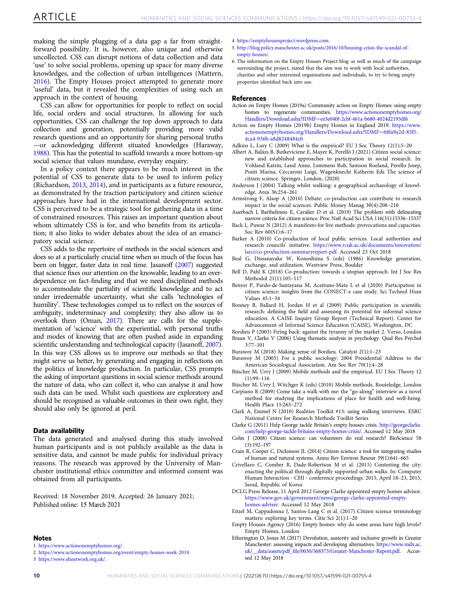<span id="page-9-0"></span>making the simple plugging of a data gap a far from straightforward possibility. It is, however, also unique and otherwise uncollected. CSS can disrupt notions of data collection and data 'use' to solve social problems, opening up space for many diverse knowledges, and the collection of urban intelligences (Mattern, [2016\)](#page-10-0). The Empty Houses project attempted to generate more 'useful' data, but it revealed the complexities of using such an approach in the context of housing.

CSS can allow for opportunities for people to reflect on social life, social orders and social structures. In allowing for such opportunities, CSS can challenge the top down approach to data collection and generation, potentially providing more valid research questions and an opportunity for sharing personal truths —or acknowledging different situated knowledges (Haraway, [1988](#page-10-0)). This has the potential to scaffold towards a more bottom-up social science that values mundane, everyday enquiry.

In a policy context there appears to be much interest in the potential of CSS to generate data to be used to inform policy (Richardson, [2013](#page-10-0), [2014\)](#page-10-0), and in participants as a future resource, as demonstrated by the traction participatory and citizen science approaches have had in the international development sector. CSS is perceived to be a strategic tool for gathering data in a time of constrained resources. This raises an important question about whom ultimately CSS is for, and who benefits from its articulation; it also links to wider debates about the idea of an emancipatory social science.

CSS adds to the repertoire of methods in the social sciences and does so at a particularly crucial time when so much of the focus has been on bigger, faster data in real time. Jasanoff [\(2007](#page-10-0)) suggested that science fixes our attention on the knowable, leading to an overdependence on fact-finding and that we need disciplined methods to accommodate the partiality of scientific knowledge and to act under irredeemable uncertainty, what she calls 'technologies of humility'. These technologies compel us to reflect on the sources of ambiguity, indeterminacy and complexity; they also allow us to overlook them (Oman, [2017\)](#page-10-0). There are calls for the supplementation of 'science' with the experiential, with personal truths and modes of knowing that are often pushed aside in expanding scientific understanding and technological capacity (Jasanoff, [2007](#page-10-0)). In this way CSS allows us to improve our methods so that they might serve us better, by generating and engaging in reflections on the politics of knowledge production. In particular, CSS prompts the asking of important questions in social science methods around the nature of data, who can collect it, who can analyse it and how such data can be used. Whilst such questions are exploratory and should be recognised as valuable outcomes in their own right, they should also only be ignored at peril.

#### Data availability

The data generated and analysed during this study involved human participants and is not publicly available as the data is sensitive data, and cannot be made public for individual privacy reasons. The research was approved by the University of Manchester institutional ethics committee and informed consent was obtained from all participants.

Received: 18 November 2019; Accepted: 26 January 2021; Published online: 15 March 2021

#### Notes

- 1 [https://www.actiononemptyhomes.org/.](https://www.actiononemptyhomes.org/)
- 2 <https://www.actiononemptyhomes.org/event/empty-homes-week-2019>.

3 [https://www.ehnetwork.org.uk/.](https://www.ehnetwork.org.uk/)

4 <https://emptyhousesproject.wordpress.com>.

- 5 [http://blog.policy.manchester.ac.uk/posts/2016/10/housing-crisis-the-scandal-of](http://blog.policy.manchester.ac.uk/posts/2016/10/housing-crisis-the-scandal-of-empty-homes/)[empty-homes/](http://blog.policy.manchester.ac.uk/posts/2016/10/housing-crisis-the-scandal-of-empty-homes/).
- 6 The information on the Empty Houses Project blog, as well as much of the campaign surrounding the project, stated that the aim was to work with local authorities, charities and other interested organisations and individuals, to try to bring empty properties identified back into use.

#### References

- Action on Empty Homes (2019a) Community action on Empty Homes: using empty homes to regenerate communities. [https://www.actiononemptyhomes.org/](https://www.actiononemptyhomes.org/Handlers/Download.ashx?IDMF=ee3e040f-2cbf-461a-b680-4024d2193df6) [Handlers/Download.ashx?I](https://www.actiononemptyhomes.org/Handlers/Download.ashx?IDMF=ee3e040f-2cbf-461a-b680-4024d2193df6)DMF=[ee3e040f-2cbf-461a-b680-4024d2193df6](https://www.actiononemptyhomes.org/Handlers/Download.ashx?IDMF=ee3e040f-2cbf-461a-b680-4024d2193df6)
- Action on Empty Homes (2019b) Empty Homes in England 2019. [https://www.](https://www.actiononemptyhomes.org/Handlers/Download.ashx?IDMF=68fa9a2d-83f5-4ca4-936b-a8d8248484c0) [actiononemptyhomes.org/Handlers/Download.ashx?IDMF](https://www.actiononemptyhomes.org/Handlers/Download.ashx?IDMF=68fa9a2d-83f5-4ca4-936b-a8d8248484c0)=68fa9a2d-83f5- [4ca4-936b-a8d8248484c0](https://www.actiononemptyhomes.org/Handlers/Download.ashx?IDMF=68fa9a2d-83f5-4ca4-936b-a8d8248484c0)
- Adkins L, Lury C (2009) What is the empirical? EU J Soc Theory 12(1):5–20
- Albert A, Balázs B, Butkeviciene E, Mayer K, Perelló J (2021) Citizen social science: new and established approaches to participation in social research. In: Vohland Katrin, Land Anne, Lemmens Rob, Samson Roeland, Perello Josep, Ponti Marisa, Ceccaroni Luigi, Wagenknecht Katherin Eds The science of citizen science. Springer, London, (2020)
- Anderson J (2004) Talking whilst walking: a geographical archaeology of knowledge. Area 36:254–261
- Armstrong F, Alsop A (2010) Debate: co-production can contribute to research impact in the social sciences. Public Money Manag 30(4):208–210
- Auerbach J, Barthelmess E, Cavalier D et al. (2019) The problem with delineating narrow criteria for citizen science. Proc Natl Acad Sci USA 116(31):15336–15337
- Back L, Puwar N (2012) A manifesto for live methods: provocations and capacities. Soc Rev 60(S1):6–17
- Barker A (2010) Co-production of local public services. Local authorities and research councils' initiative. [https://www.rcuk.ac.uk/documents/innovation/](https://www.rcuk.ac.uk/documents/innovation/larci/co-production-summaryreport-pdf) [larci/co-production-summaryreport-pdf.](https://www.rcuk.ac.uk/documents/innovation/larci/co-production-summaryreport-pdf) Accessed 23 Oct 2018
- Beal G, Dissanayake W, Konoshima S (eds) (1986) Knowledge generation, exchange, and utilization. Westview Press, Boulder
- Bell D, Pahl K (2018) Co-production: towards a utopian approach. Int J Soc Res Methodol 21(1):105–117
- Benyei P, Pardo-de-Santayana M, Aceituno-Mata L et al (2020) Participation in citizen science: insights from the CONECT-e case study. Sci Technol Hum Values 45:1–34
- Bonney R, Ballard H, Jordan H et al (2009) Public participation in scientific research: defining the field and assessing its potential for informal science education. A CAISE Inquiry Group Report (Technical Report). Center for Advancement of Informal Science Education (CAISE), Washington, DC
- Bordieu P (2003) Firing back: against the tyranny of the market 2. Verso, London Braun V, Clarke V (2006) Using thematic analysis in psychology. Qual Res Psychol
- 3:77–101 Burawoy M (2018) Making sense of Bordieu. Catalyst 2(1):1–23
- Burawoy M (2005) For a public sociology: 2004 Presidential Address to the American Sociological Association. Am Soc Rev 70(1):4–28
- Büscher M, Urry J (2009) Mobile methods and the empirical. EU J Soc Theory 12 (1):99–116
- Büscher M, Urry J, Witchger K (eds) (2010) Mobile methods. Routeledge, London
- Carpiano R (2009) Come take a walk with me: the "go-along" interview as a novel method for studying the implications of place for health and well-being. Health Place 15:263–272
- Clark A, Emmel N (2010) Realities Toolkit #13: using walking interviews. ESRC National Centre for Research Methods Toolkit Series
- Clarke G (2011) Help George tackle Britain's empty houses crisis. [http://georgeclarke.](http://georgeclarke.com/help-george-tackle-britains-empty-homes-crisis/) [com/help-george-tackle-britains-empty-homes-crisis/.](http://georgeclarke.com/help-george-tackle-britains-empty-homes-crisis/) Accessed 12 May 2018
- Cohn J (2008) Citizen science: can volunteers do real research? BioScience 58 (3):192–197
- Crain R, Cooper C, Dickinson JL (2014) Citizen science: a tool for integrating studies of human and natural systems. Annu Rev Environ Resour 39(1):641–665
- Crivellaro C, Comber R, Dade-Robertson M et al. (2015) Contesting the city: enacting the political through digitally supported urban walks. In: Computer Human Interaction - CHI - conference proceedings. 2015, April 18–23, 2015, Seoul, Republic of Korea
- DCLG Press Release, 11 April 2012 George Clarke appointed empty homes advisor. [https://www.gov.uk/government/news/george-clarke-appointed-empty](https://www.gov.uk/government/news/george-clarke-appointed-empty-homes-adviser)[homes-adviser](https://www.gov.uk/government/news/george-clarke-appointed-empty-homes-adviser). Accessed 12 May 2018
- Eitzel M, Cappadonna J, Santos-Lang C et al. (2017) Citizen science terminology matters: exploring key terms. Citiz Sci 2(1):1–20
- Empty Houses Agency (2016) Empty homes: why do some areas have high levels? Empty Homes, London
- Etherington D, Jones M (2017) Devolution, austerity and inclusive growth in Greater Manchester: assessing impacts and developing alternatives. [https://www.mdx.ac.](https://www.mdx.ac.uk/__data/assets/pdf_file/0030/368373/Greater-Manchester-Report.pdf) uk/\_\_data/assets/pdf\_fi[le/0030/368373/Greater-Manchester-Report.pdf](https://www.mdx.ac.uk/__data/assets/pdf_file/0030/368373/Greater-Manchester-Report.pdf). Accessed 12 May 2018